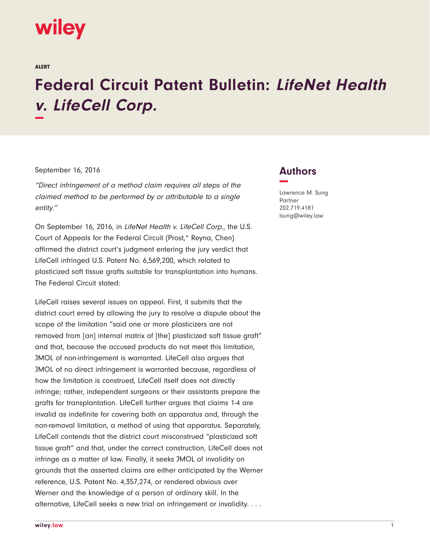## wiley

ALERT

## **Federal Circuit Patent Bulletin: LifeNet Health v. LifeCell Corp. −**

## September 16, 2016

"Direct infringement of a method claim requires all steps of the claimed method to be performed by or attributable to a single entity."

On September 16, 2016, in LifeNet Health v. LifeCell Corp., the U.S. Court of Appeals for the Federal Circuit (Prost,\* Reyna, Chen) affirmed the district court's judgment entering the jury verdict that LifeCell infringed U.S. Patent No. 6,569,200, which related to plasticized soft tissue grafts suitable for transplantation into humans. The Federal Circuit stated:

LifeCell raises several issues on appeal. First, it submits that the district court erred by allowing the jury to resolve a dispute about the scope of the limitation "said one or more plasticizers are not removed from [an] internal matrix of [the] plasticized soft tissue graft" and that, because the accused products do not meet this limitation, JMOL of non-infringement is warranted. LifeCell also argues that JMOL of no direct infringement is warranted because, regardless of how the limitation is construed, LifeCell itself does not directly infringe; rather, independent surgeons or their assistants prepare the grafts for transplantation. LifeCell further argues that claims 1-4 are invalid as indefinite for covering both an apparatus and, through the non-removal limitation, a method of using that apparatus. Separately, LifeCell contends that the district court misconstrued "plasticized soft tissue graft" and that, under the correct construction, LifeCell does not infringe as a matter of law. Finally, it seeks JMOL of invalidity on grounds that the asserted claims are either anticipated by the Werner reference, U.S. Patent No. 4,357,274, or rendered obvious over Werner and the knowledge of a person of ordinary skill. In the alternative, LifeCell seeks a new trial on infringement or invalidity. . . .

## **Authors −**

Lawrence M. Sung Partner 202.719.4181 lsung@wiley.law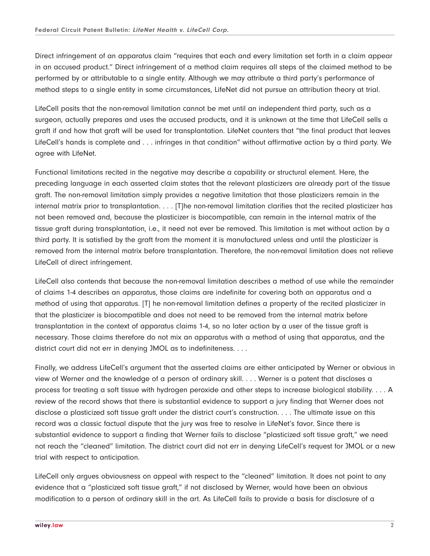Direct infringement of an apparatus claim "requires that each and every limitation set forth in a claim appear in an accused product." Direct infringement of a method claim requires all steps of the claimed method to be performed by or attributable to a single entity. Although we may attribute a third party's performance of method steps to a single entity in some circumstances, LifeNet did not pursue an attribution theory at trial.

LifeCell posits that the non-removal limitation cannot be met until an independent third party, such as a surgeon, actually prepares and uses the accused products, and it is unknown at the time that LifeCell sells a graft if and how that graft will be used for transplantation. LifeNet counters that "the final product that leaves LifeCell's hands is complete and . . . infringes in that condition" without affirmative action by a third party. We agree with LifeNet.

Functional limitations recited in the negative may describe a capability or structural element. Here, the preceding language in each asserted claim states that the relevant plasticizers are already part of the tissue graft. The non-removal limitation simply provides a negative limitation that those plasticizers remain in the internal matrix prior to transplantation. . . . [T]he non-removal limitation clarifies that the recited plasticizer has not been removed and, because the plasticizer is biocompatible, can remain in the internal matrix of the tissue graft during transplantation, i.e., it need not ever be removed. This limitation is met without action by a third party. It is satisfied by the graft from the moment it is manufactured unless and until the plasticizer is removed from the internal matrix before transplantation. Therefore, the non-removal limitation does not relieve LifeCell of direct infringement.

LifeCell also contends that because the non-removal limitation describes a method of use while the remainder of claims 1-4 describes an apparatus, those claims are indefinite for covering both an apparatus and a method of using that apparatus. [T] he non-removal limitation defines a property of the recited plasticizer in that the plasticizer is biocompatible and does not need to be removed from the internal matrix before transplantation in the context of apparatus claims 1-4, so no later action by a user of the tissue graft is necessary. Those claims therefore do not mix an apparatus with a method of using that apparatus, and the district court did not err in denying JMOL as to indefiniteness. . . .

Finally, we address LifeCell's argument that the asserted claims are either anticipated by Werner or obvious in view of Werner and the knowledge of a person of ordinary skill. . . . Werner is a patent that discloses a process for treating a soft tissue with hydrogen peroxide and other steps to increase biological stability. . . . A review of the record shows that there is substantial evidence to support a jury finding that Werner does not disclose a plasticized soft tissue graft under the district court's construction. . . . The ultimate issue on this record was a classic factual dispute that the jury was free to resolve in LifeNet's favor. Since there is substantial evidence to support a finding that Werner fails to disclose "plasticized soft tissue graft," we need not reach the "cleaned" limitation. The district court did not err in denying LifeCell's request for JMOL or a new trial with respect to anticipation.

LifeCell only argues obviousness on appeal with respect to the "cleaned" limitation. It does not point to any evidence that a "plasticized soft tissue graft," if not disclosed by Werner, would have been an obvious modification to a person of ordinary skill in the art. As LifeCell fails to provide a basis for disclosure of a